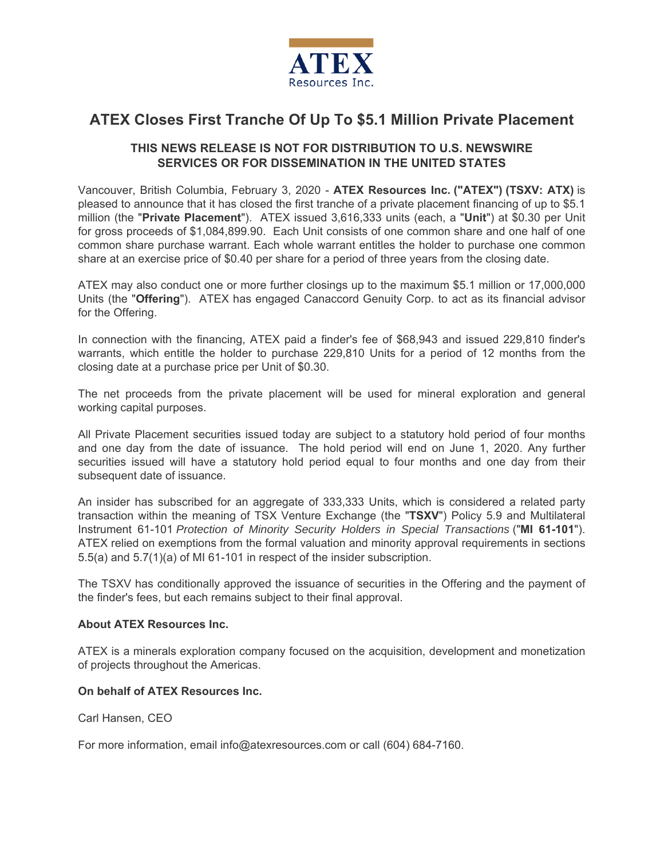

# **ATEX Closes First Tranche Of Up To \$5.1 Million Private Placement**

## **THIS NEWS RELEASE IS NOT FOR DISTRIBUTION TO U.S. NEWSWIRE SERVICES OR FOR DISSEMINATION IN THE UNITED STATES**

Vancouver, British Columbia, February 3, 2020 - **ATEX Resources Inc. ("ATEX") (TSXV: ATX)** is pleased to announce that it has closed the first tranche of a private placement financing of up to \$5.1 million (the "**Private Placement**"). ATEX issued 3,616,333 units (each, a "**Unit**") at \$0.30 per Unit for gross proceeds of \$1,084,899.90. Each Unit consists of one common share and one half of one common share purchase warrant. Each whole warrant entitles the holder to purchase one common share at an exercise price of \$0.40 per share for a period of three years from the closing date.

ATEX may also conduct one or more further closings up to the maximum \$5.1 million or 17,000,000 Units (the "**Offering**"). ATEX has engaged Canaccord Genuity Corp. to act as its financial advisor for the Offering.

In connection with the financing, ATEX paid a finder's fee of \$68,943 and issued 229,810 finder's warrants, which entitle the holder to purchase 229,810 Units for a period of 12 months from the closing date at a purchase price per Unit of \$0.30.

The net proceeds from the private placement will be used for mineral exploration and general working capital purposes.

All Private Placement securities issued today are subject to a statutory hold period of four months and one day from the date of issuance. The hold period will end on June 1, 2020. Any further securities issued will have a statutory hold period equal to four months and one day from their subsequent date of issuance.

An insider has subscribed for an aggregate of 333,333 Units, which is considered a related party transaction within the meaning of TSX Venture Exchange (the "**TSXV**") Policy 5.9 and Multilateral Instrument 61-101 *Protection of Minority Security Holders in Special Transactions* ("**MI 61-101**"). ATEX relied on exemptions from the formal valuation and minority approval requirements in sections 5.5(a) and 5.7(1)(a) of MI 61-101 in respect of the insider subscription.

The TSXV has conditionally approved the issuance of securities in the Offering and the payment of the finder's fees, but each remains subject to their final approval.

#### **About ATEX Resources Inc.**

ATEX is a minerals exploration company focused on the acquisition, development and monetization of projects throughout the Americas.

#### **On behalf of ATEX Resources Inc.**

Carl Hansen, CEO

For more information, email info@atexresources.com or call (604) 684-7160.